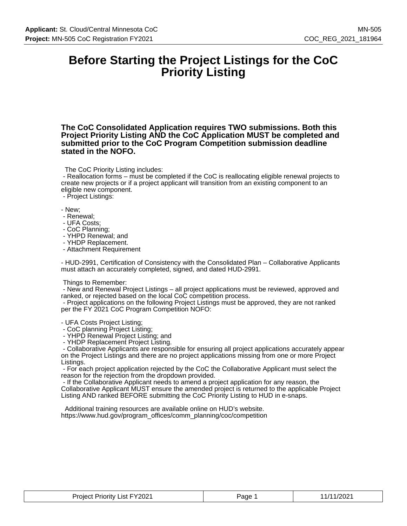### **Before Starting the Project Listings for the CoC Priority Listing**

**The CoC Consolidated Application requires TWO submissions. Both this Project Priority Listing AND the CoC Application MUST be completed and submitted prior to the CoC Program Competition submission deadline stated in the NOFO.**

The CoC Priority Listing includes:

 - Reallocation forms – must be completed if the CoC is reallocating eligible renewal projects to create new projects or if a project applicant will transition from an existing component to an eligible new component.

- Project Listings:

- New;

- Renewal;
- UFA Costs;
- CoC Planning;
- YHPD Renewal; and
- YHDP Replacement.
- Attachment Requirement

- HUD-2991, Certification of Consistency with the Consolidated Plan – Collaborative Applicants must attach an accurately completed, signed, and dated HUD-2991.

#### Things to Remember:

 - New and Renewal Project Listings – all project applications must be reviewed, approved and ranked, or rejected based on the local CoC competition process.

 - Project applications on the following Project Listings must be approved, they are not ranked per the FY 2021 CoC Program Competition NOFO:

- UFA Costs Project Listing;

- CoC planning Project Listing;

- YHPD Renewal Project Listing; and

- YHDP Replacement Project Listing.

 - Collaborative Applicants are responsible for ensuring all project applications accurately appear on the Project Listings and there are no project applications missing from one or more Project Listings.

 - For each project application rejected by the CoC the Collaborative Applicant must select the reason for the rejection from the dropdown provided.

 - If the Collaborative Applicant needs to amend a project application for any reason, the Collaborative Applicant MUST ensure the amended project is returned to the applicable Project Listing AND ranked BEFORE submitting the CoC Priority Listing to HUD in e-snaps.

 Additional training resources are available online on HUD's website. https://www.hud.gov/program\_offices/comm\_planning/coc/competition

| List FY2021<br>Proiect<br><b>Priority</b><br>________ | Paαe | /202<br>. .<br>,, |
|-------------------------------------------------------|------|-------------------|
|-------------------------------------------------------|------|-------------------|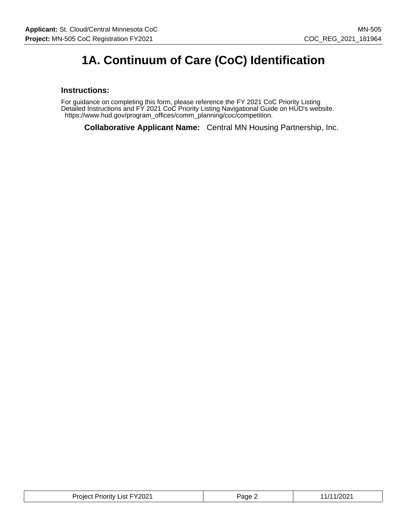# **1A. Continuum of Care (CoC) Identification**

### **Instructions:**

For guidance on completing this form, please reference the FY 2021 CoC Priority Listing Detailed Instructions and FY 2021 CoC Priority Listing Navigational Guide on HUD's website. https://www.hud.gov/program\_offices/comm\_planning/coc/competition.

**Collaborative Applicant Name:** Central MN Housing Partnership, Inc.

| <b>Project Priority List FY2021</b> | Page 2 | /2021<br>11/11 |
|-------------------------------------|--------|----------------|
|-------------------------------------|--------|----------------|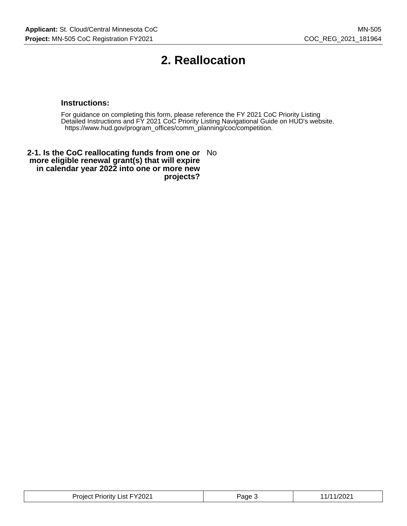# **2. Reallocation**

### **Instructions:**

For guidance on completing this form, please reference the FY 2021 CoC Priority Listing Detailed Instructions and FY 2021 CoC Priority Listing Navigational Guide on HUD's website. https://www.hud.gov/program\_offices/comm\_planning/coc/competition.

**2-1. Is the CoC reallocating funds from one or** No **more eligible renewal grant(s) that will expire in calendar year 2022 into one or more new projects?**

| ist FY2021<br>Proiect<br>Priority. | Paɑe | /2021<br>$\overline{14}$ |
|------------------------------------|------|--------------------------|
|------------------------------------|------|--------------------------|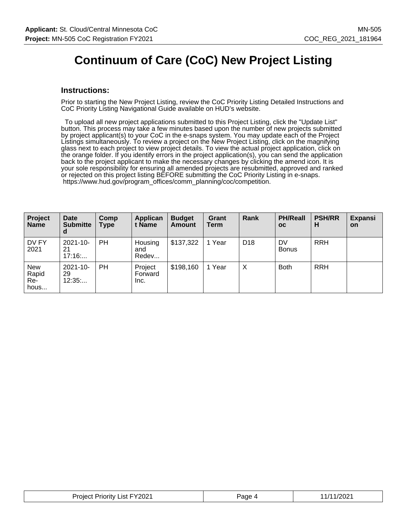# **Continuum of Care (CoC) New Project Listing**

### **Instructions:**

Prior to starting the New Project Listing, review the CoC Priority Listing Detailed Instructions and CoC Priority Listing Navigational Guide available on HUD's website.

 To upload all new project applications submitted to this Project Listing, click the "Update List" button. This process may take a few minutes based upon the number of new projects submitted by project applicant(s) to your CoC in the e-snaps system. You may update each of the Project Listings simultaneously. To review a project on the New Project Listing, click on the magnifying glass next to each project to view project details. To view the actual project application, click on the orange folder. If you identify errors in the project application(s), you can send the application back to the project applicant to make the necessary changes by clicking the amend icon. It is your sole responsibility for ensuring all amended projects are resubmitted, approved and ranked or rejected on this project listing BEFORE submitting the CoC Priority Listing in e-snaps. https://www.hud.gov/program\_offices/comm\_planning/coc/competition.

| Project<br><b>Name</b>             | Date<br><b>Submitte</b><br>d | Comp<br>Type | <b>Applican</b><br>t Name  | <b>Budget</b><br><b>Amount</b> | Grant<br>Term | Rank            | <b>PH/Reall</b><br><b>OC</b> | <b>PSH/RR</b><br>н | <b>Expansi</b><br><b>on</b> |
|------------------------------------|------------------------------|--------------|----------------------------|--------------------------------|---------------|-----------------|------------------------------|--------------------|-----------------------------|
| DV FY<br>2021                      | $2021 - 10 -$<br>21<br>17:16 | PH           | Housing<br>and<br>Redev    | \$137,322                      | Year<br>1     | D <sub>18</sub> | DV<br><b>Bonus</b>           | <b>RRH</b>         |                             |
| <b>New</b><br>Rapid<br>Re-<br>hous | $2021 - 10 -$<br>29<br>12:35 | PH           | Project<br>Forward<br>Inc. | \$198,160                      | Year<br>1     | $\times$        | <b>Both</b>                  | <b>RRH</b>         |                             |

| <b>Project Priority List FY2021</b> | Page 4 | 12021<br>''∠∪∠ . |
|-------------------------------------|--------|------------------|
|-------------------------------------|--------|------------------|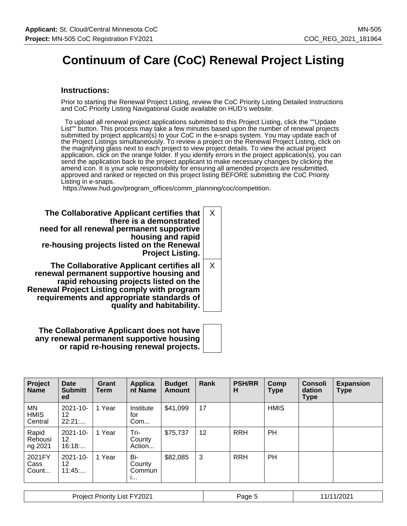# **Continuum of Care (CoC) Renewal Project Listing**

### **Instructions:**

Prior to starting the Renewal Project Listing, review the CoC Priority Listing Detailed Instructions and CoC Priority Listing Navigational Guide available on HUD's website.

 To upload all renewal project applications submitted to this Project Listing, click the ""Update List"" button. This process may take a few minutes based upon the number of renewal projects submitted by project applicant(s) to your CoC in the e-snaps system. You may update each of the Project Listings simultaneously. To review a project on the Renewal Project Listing, click on the magnifying glass next to each project to view project details. To view the actual project application, click on the orange folder. If you identify errors in the project application(s), you can send the application back to the project applicant to make necessary changes by clicking the amend icon. It is your sole responsibility for ensuring all amended projects are resubmitted, approved and ranked or rejected on this project listing BEFORE submitting the CoC Priority Listing in e-snaps.

https://www.hud.gov/program\_offices/comm\_planning/coc/competition.

| The Collaborative Applicant certifies that<br>there is a demonstrated<br>need for all renewal permanent supportive<br>housing and rapid<br>re-housing projects listed on the Renewal<br><b>Project Listing.</b>                                                 | X        |
|-----------------------------------------------------------------------------------------------------------------------------------------------------------------------------------------------------------------------------------------------------------------|----------|
| The Collaborative Applicant certifies all<br>renewal permanent supportive housing and<br>rapid rehousing projects listed on the<br><b>Renewal Project Listing comply with program</b><br>requirements and appropriate standards of<br>quality and habitability. | $\times$ |

**The Collaborative Applicant does not have any renewal permanent supportive housing or rapid re-housing renewal projects.**

| Project<br><b>Name</b>              | Date<br><b>Submitt</b><br>ed | Grant<br>Term | Applica<br>nt Name            | <b>Budget</b><br>Amount | Rank | <b>PSH/RR</b><br>н | Comp<br><b>Type</b> | <b>Consoli</b><br>dation<br><b>Type</b> | <b>Expansion</b><br><b>Type</b> |
|-------------------------------------|------------------------------|---------------|-------------------------------|-------------------------|------|--------------------|---------------------|-----------------------------------------|---------------------------------|
| <b>MN</b><br><b>HMIS</b><br>Central | 2021-10-<br>12<br>22:21      | 1 Year        | Institute<br>for<br>Com       | \$41,099                | 17   |                    | <b>HMIS</b>         |                                         |                                 |
| Rapid<br>Rehousi<br>ng 2021         | 2021-10-<br>$12 \,$<br>16:18 | 1 Year        | Tri-<br>County<br>Action      | \$75,737                | 12   | <b>RRH</b>         | PH                  |                                         |                                 |
| 2021FY<br>Cass<br>Count             | 2021-10-<br>12<br>11:45      | 1 Year        | Bi-<br>County<br>Commun<br>1. | \$82,085                | 3    | <b>RRH</b>         | PH                  |                                         |                                 |

| Project Priority List FY2021 | Page 5 | 11/11/2021 |
|------------------------------|--------|------------|
|------------------------------|--------|------------|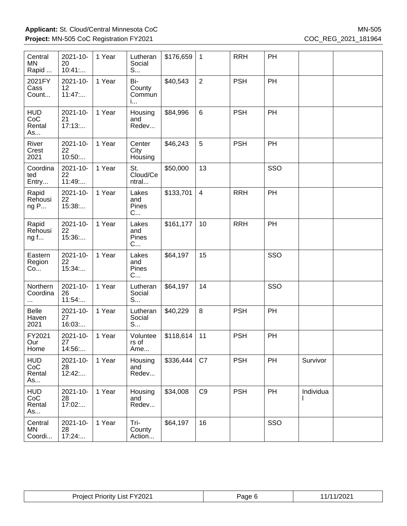| Central<br><b>MN</b><br>Rapid     | 2021-10-<br>20<br>10:41      | 1 Year | Lutheran<br>Social<br>S        | \$176,659 | $\mathbf{1}$   | <b>RRH</b> | PH  |           |  |
|-----------------------------------|------------------------------|--------|--------------------------------|-----------|----------------|------------|-----|-----------|--|
| 2021FY<br>Cass<br>Count           | $2021 - 10 -$<br>12<br>11:47 | 1 Year | Bi-<br>County<br>Commun<br>j., | \$40,543  | 2              | <b>PSH</b> | PH  |           |  |
| <b>HUD</b><br>CoC<br>Rental<br>As | 2021-10-<br>21<br>17:13      | 1 Year | Housing<br>and<br>Redev        | \$84,996  | 6              | <b>PSH</b> | PH  |           |  |
| River<br>Crest<br>2021            | 2021-10-<br>22<br>10:50      | 1 Year | Center<br>City<br>Housing      | \$46,243  | 5              | <b>PSH</b> | PH  |           |  |
| Coordina<br>ted<br>Entry          | 2021-10-<br>22<br>11:49      | 1 Year | St.<br>Cloud/Ce<br>ntral       | \$50,000  | 13             |            | SSO |           |  |
| Rapid<br>Rehousi<br>ng P          | $2021 - 10 -$<br>22<br>15:38 | 1 Year | Lakes<br>and<br>Pines<br>C     | \$133,701 | $\overline{4}$ | <b>RRH</b> | PH  |           |  |
| Rapid<br>Rehousi<br>ng f          | 2021-10-<br>22<br>15:36      | 1 Year | Lakes<br>and<br>Pines<br>C     | \$161,177 | 10             | <b>RRH</b> | PH  |           |  |
| Eastern<br>Region<br>Co           | 2021-10-<br>22<br>15:34      | 1 Year | Lakes<br>and<br>Pines<br>C     | \$64,197  | 15             |            | SSO |           |  |
| Northern<br>Coordina<br>          | 2021-10-<br>26<br>11:54      | 1 Year | Lutheran<br>Social<br>S        | \$64,197  | 14             |            | SSO |           |  |
| <b>Belle</b><br>Haven<br>2021     | 2021-10-<br>27<br>16:03      | 1 Year | Lutheran<br>Social<br>S        | \$40,229  | 8              | <b>PSH</b> | PH  |           |  |
| FY2021<br>Our<br>Home             | 2021-10-<br>27<br>14:56:     | 1 Year | Voluntee<br>rs of<br>Ame       | \$118,614 | 11             | <b>PSH</b> | PH  |           |  |
| <b>HUD</b><br>CoC<br>Rental<br>As | 2021-10-<br>28<br>12:42      | 1 Year | Housing<br>and<br>Redev        | \$336,444 | C7             | <b>PSH</b> | PH  | Survivor  |  |
| <b>HUD</b><br>CoC<br>Rental<br>As | 2021-10-<br>28<br>17:02:     | 1 Year | Housing<br>and<br>Redev        | \$34,008  | C <sub>9</sub> | <b>PSH</b> | PH  | Individua |  |
| Central<br>MN<br>Coordi           | 2021-10-<br>28<br>17:24      | 1 Year | Tri-<br>County<br>Action       | \$64,197  | 16             |            | SSO |           |  |

| <b>Project Priority List FY2021</b><br>______ | Page 6 | 11/11/2021<br>____ |
|-----------------------------------------------|--------|--------------------|
|-----------------------------------------------|--------|--------------------|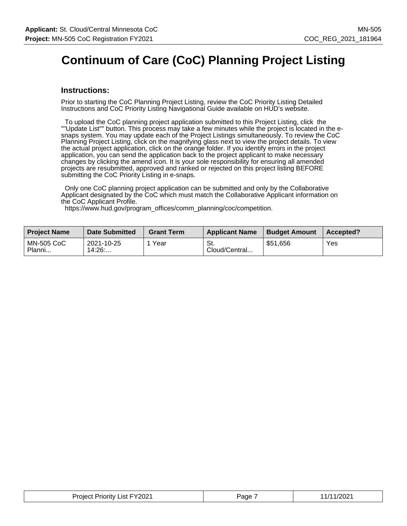# **Continuum of Care (CoC) Planning Project Listing**

### **Instructions:**

Prior to starting the CoC Planning Project Listing, review the CoC Priority Listing Detailed Instructions and CoC Priority Listing Navigational Guide available on HUD's website.

 To upload the CoC planning project application submitted to this Project Listing, click the ""Update List"" button. This process may take a few minutes while the project is located in the esnaps system. You may update each of the Project Listings simultaneously. To review the CoC Planning Project Listing, click on the magnifying glass next to view the project details. To view the actual project application, click on the orange folder. If you identify errors in the project application, you can send the application back to the project applicant to make necessary changes by clicking the amend icon. It is your sole responsibility for ensuring all amended projects are resubmitted, approved and ranked or rejected on this project listing BEFORE submitting the CoC Priority Listing in e-snaps.

 Only one CoC planning project application can be submitted and only by the Collaborative Applicant designated by the CoC which must match the Collaborative Applicant information on the CoC Applicant Profile.

https://www.hud.gov/program\_offices/comm\_planning/coc/competition.

| <b>Project Name</b>  | <b>Date Submitted</b> | <b>Grant Term</b> | <b>Applicant Name</b> | <b>Budget Amount</b> | Accepted? |
|----------------------|-----------------------|-------------------|-----------------------|----------------------|-----------|
| MN-505 CoC<br>Planni | 2021-10-25<br>14:26:  | Year              | St.<br>Cloud/Central  | \$51.656             | Yes       |

| <b>Project Priority List FY2021</b> | Page | 2021/<br>л л<br>. |
|-------------------------------------|------|-------------------|
|-------------------------------------|------|-------------------|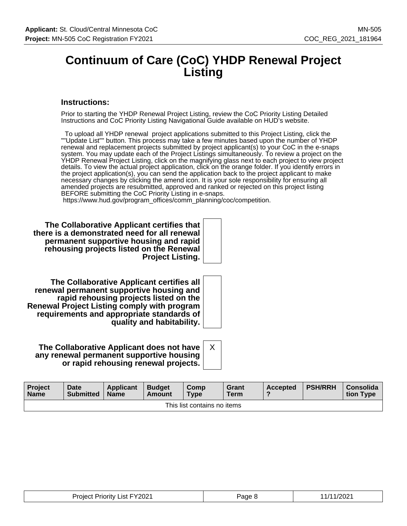### **Continuum of Care (CoC) YHDP Renewal Project Listing**

### **Instructions:**

Prior to starting the YHDP Renewal Project Listing, review the CoC Priority Listing Detailed Instructions and CoC Priority Listing Navigational Guide available on HUD's website.

 To upload all YHDP renewal project applications submitted to this Project Listing, click the ""Update List"" button. This process may take a few minutes based upon the number of YHDP renewal and replacement projects submitted by project applicant(s) to your CoC in the e-snaps system. You may update each of the Project Listings simultaneously. To review a project on the YHDP Renewal Project Listing, click on the magnifying glass next to each project to view project details. To view the actual project application, click on the orange folder. If you identify errors in the project application(s), you can send the application back to the project applicant to make necessary changes by clicking the amend icon. It is your sole responsibility for ensuring all amended projects are resubmitted, approved and ranked or rejected on this project listing BEFORE submitting the CoC Priority Listing in e-snaps.

https://www.hud.gov/program\_offices/comm\_planning/coc/competition.

**The Collaborative Applicant certifies that there is a demonstrated need for all renewal permanent supportive housing and rapid rehousing projects listed on the Renewal Project Listing.**

**The Collaborative Applicant certifies all renewal permanent supportive housing and rapid rehousing projects listed on the Renewal Project Listing comply with program requirements and appropriate standards of quality and habitability.**

**The Collaborative Applicant does not have any renewal permanent supportive housing or rapid rehousing renewal projects.**

| <b>Project</b><br><b>Name</b> | Date<br><b>Submitted</b> | <b>Applicant</b><br><b>Name</b> | <b>Budget</b><br>Amount | Comp<br><b>Type</b> | Grant<br><b>Term</b> | <b>Accepted</b> | <b>PSH/RRH</b> | Consolida<br>tion Type |
|-------------------------------|--------------------------|---------------------------------|-------------------------|---------------------|----------------------|-----------------|----------------|------------------------|
| This list contains no items   |                          |                                 |                         |                     |                      |                 |                |                        |

X

| <b>Project Priority List FY2021</b> | Page | 1/202 <sup>4</sup><br><u>ия л</u> |
|-------------------------------------|------|-----------------------------------|
|-------------------------------------|------|-----------------------------------|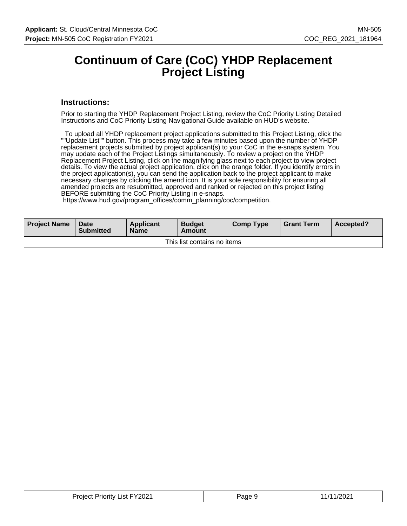### **Continuum of Care (CoC) YHDP Replacement Project Listing**

#### **Instructions:**

Prior to starting the YHDP Replacement Project Listing, review the CoC Priority Listing Detailed Instructions and CoC Priority Listing Navigational Guide available on HUD's website.

 To upload all YHDP replacement project applications submitted to this Project Listing, click the ""Update List"" button. This process may take a few minutes based upon the number of YHDP replacement projects submitted by project applicant(s) to your CoC in the e-snaps system. You may update each of the Project Listings simultaneously. To review a project on the YHDP Replacement Project Listing, click on the magnifying glass next to each project to view project details. To view the actual project application, click on the orange folder. If you identify errors in the project application(s), you can send the application back to the project applicant to make necessary changes by clicking the amend icon. It is your sole responsibility for ensuring all amended projects are resubmitted, approved and ranked or rejected on this project listing BEFORE submitting the CoC Priority Listing in e-snaps.

https://www.hud.gov/program\_offices/comm\_planning/coc/competition.

| <b>Project Name</b>         | Date<br><b>Submitted</b> | Applicant<br><b>Name</b> | <b>Budget</b><br>Amount | <b>Comp Type</b> | <b>Grant Term</b> | Accepted? |
|-----------------------------|--------------------------|--------------------------|-------------------------|------------------|-------------------|-----------|
| This list contains no items |                          |                          |                         |                  |                   |           |

| <b>Project Priority List FY2021</b> | Page | /2021 |
|-------------------------------------|------|-------|
|-------------------------------------|------|-------|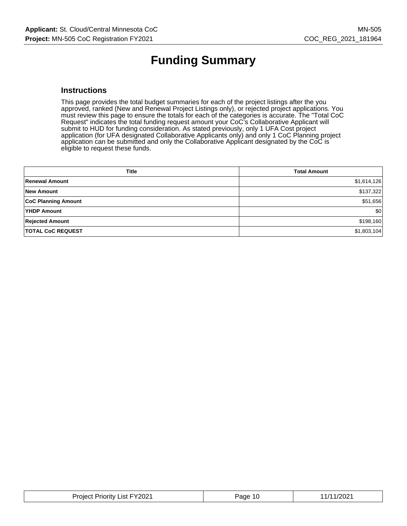# **Funding Summary**

#### **Instructions**

This page provides the total budget summaries for each of the project listings after the you approved, ranked (New and Renewal Project Listings only), or rejected project applications. You must review this page to ensure the totals for each of the categories is accurate. The "Total CoC Request" indicates the total funding request amount your CoC's Collaborative Applicant will submit to HUD for funding consideration. As stated previously, only 1 UFA Cost project application (for UFA designated Collaborative Applicants only) and only 1 CoC Planning project application can be submitted and only the Collaborative Applicant designated by the CoC is eligible to request these funds.

| <b>Title</b>               | <b>Total Amount</b> |
|----------------------------|---------------------|
| <b>Renewal Amount</b>      | \$1,614,126         |
| <b>New Amount</b>          | \$137,322           |
| <b>CoC Planning Amount</b> | \$51,656            |
| YHDP Amount                | \$0                 |
| <b>Rejected Amount</b>     | \$198,160           |
| <b>TOTAL CoC REQUEST</b>   | \$1,803,104         |

| Project Priority List FY2021 | Page 10 | 11/11/2021 |
|------------------------------|---------|------------|
|------------------------------|---------|------------|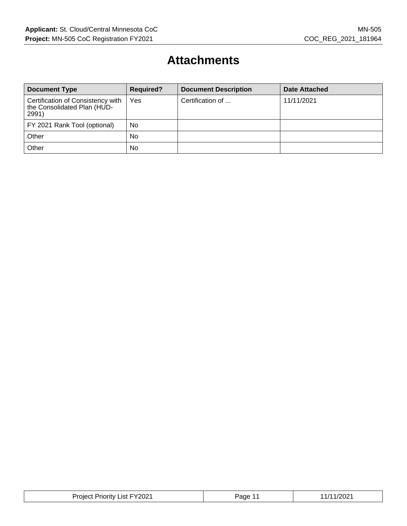L

# **Attachments**

| <b>Document Type</b>                                                      | <b>Required?</b> | <b>Document Description</b> | <b>Date Attached</b> |
|---------------------------------------------------------------------------|------------------|-----------------------------|----------------------|
| Certification of Consistency with<br>the Consolidated Plan (HUD-<br>2991) | Yes              | Certification of            | 11/11/2021           |
| FY 2021 Rank Tool (optional)                                              | No               |                             |                      |
| Other                                                                     | No               |                             |                      |
| Other                                                                     | <b>No</b>        |                             |                      |

| <b>FY2021</b><br>Project<br>.ist F<br>rioritv | Page | ′∪∠ |
|-----------------------------------------------|------|-----|
|-----------------------------------------------|------|-----|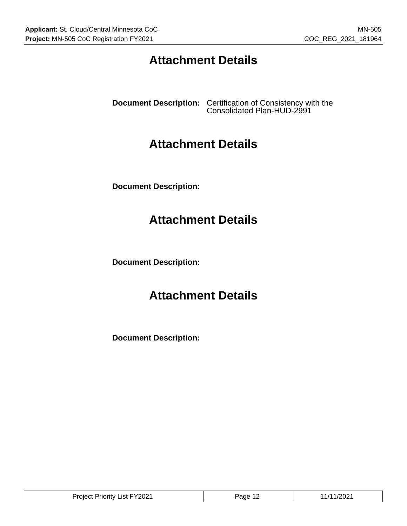# **Attachment Details**

| <b>Document Description:</b> Certification of Consistency with the<br>Consolidated Plan-HUD-2991 |
|--------------------------------------------------------------------------------------------------|
|                                                                                                  |

# **Attachment Details**

**Document Description:**

# **Attachment Details**

**Document Description:**

# **Attachment Details**

**Document Description:**

| Y2021<br>.ıst<br>٦W<br>⊣ורי<br>. | апе |  |
|----------------------------------|-----|--|
|                                  |     |  |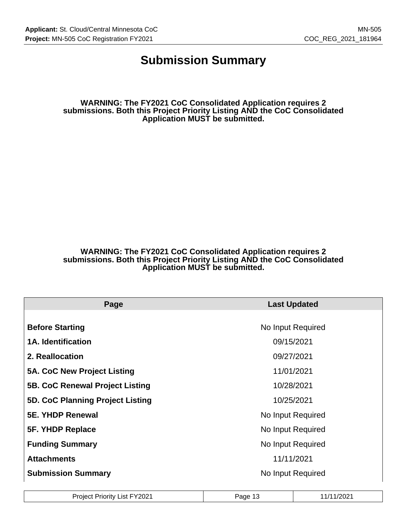# **Submission Summary**

**WARNING: The FY2021 CoC Consolidated Application requires 2 submissions. Both this Project Priority Listing AND the CoC Consolidated Application MUST be submitted.**

### **WARNING: The FY2021 CoC Consolidated Application requires 2 submissions. Both this Project Priority Listing AND the CoC Consolidated Application MUST be submitted.**

| Page                               | <b>Last Updated</b> |
|------------------------------------|---------------------|
|                                    |                     |
| <b>Before Starting</b>             | No Input Required   |
| <b>1A. Identification</b>          | 09/15/2021          |
| 2. Reallocation                    | 09/27/2021          |
| <b>5A. CoC New Project Listing</b> | 11/01/2021          |
| 5B. CoC Renewal Project Listing    | 10/28/2021          |
| 5D. CoC Planning Project Listing   | 10/25/2021          |
| <b>5E. YHDP Renewal</b>            | No Input Required   |
| 5F. YHDP Replace                   | No Input Required   |
| <b>Funding Summary</b>             | No Input Required   |
| <b>Attachments</b>                 | 11/11/2021          |
| <b>Submission Summary</b>          | No Input Required   |

| <b>Project Priority List FY2021</b> | Page 13 | 11/11/2021 |
|-------------------------------------|---------|------------|
|-------------------------------------|---------|------------|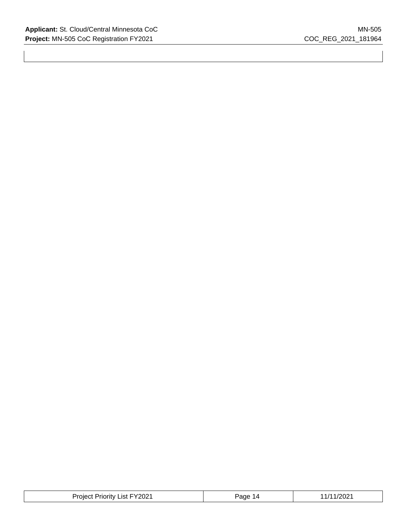$\mathbb{L}$ 

| 170021<br>.ıst<br>Projec<br>погіту<br>'∪∠ | aae<br>. <i>.</i> | ັ∕ບ∠ |
|-------------------------------------------|-------------------|------|
|-------------------------------------------|-------------------|------|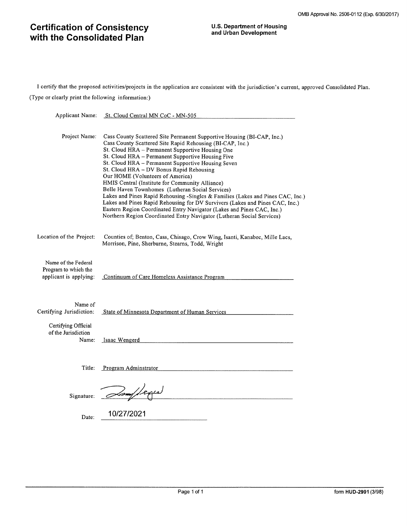### **Certification of Consistency** with the Consolidated Plan

I certify that the proposed activities/projects in the application are consistent with the jurisdiction's current, approved Consolidated Plan.

(Type or clearly print the following information:)

| Applicant Name:                                                       | St. Cloud Central MN CoC - MN-505                                                                                                                                                                                                                                                                                                                                                                                                                                                                                                                                                                                                                                                                                                                                                                                |
|-----------------------------------------------------------------------|------------------------------------------------------------------------------------------------------------------------------------------------------------------------------------------------------------------------------------------------------------------------------------------------------------------------------------------------------------------------------------------------------------------------------------------------------------------------------------------------------------------------------------------------------------------------------------------------------------------------------------------------------------------------------------------------------------------------------------------------------------------------------------------------------------------|
|                                                                       |                                                                                                                                                                                                                                                                                                                                                                                                                                                                                                                                                                                                                                                                                                                                                                                                                  |
| Project Name:                                                         | Cass County Scattered Site Permanent Supportive Housing (BI-CAP, Inc.)<br>Cass County Scattered Site Rapid Rehousing (BI-CAP, Inc.)<br>St. Cloud HRA - Permanent Supportive Housing One<br>St. Cloud HRA - Permanent Supportive Housing Five<br>St. Cloud HRA - Permanent Supportive Housing Seven<br>St. Cloud HRA - DV Bonus Rapid Rehousing<br>Our HOME (Volunteers of America)<br>HMIS Central (Institute for Community Alliance)<br>Belle Haven Townhomes (Lutheran Social Services)<br>Lakes and Pines Rapid Rehousing -Singles & Families (Lakes and Pines CAC, Inc.)<br>Lakes and Pines Rapid Rehousing for DV Survivors (Lakes and Pines CAC, Inc.)<br>Eastern Region Coordinated Entry Navigator (Lakes and Pines CAC, Inc.)<br>Northern Region Coordinated Entry Navigator (Lutheran Social Services) |
| Location of the Project:                                              | Counties of; Benton, Cass, Chisago, Crow Wing, Isanti, Kanabec, Mille Lacs,<br>Morrison, Pine, Sherburne, Stearns, Todd, Wright                                                                                                                                                                                                                                                                                                                                                                                                                                                                                                                                                                                                                                                                                  |
| Name of the Federal<br>Program to which the<br>applicant is applying: | Continuum of Care Homeless Assistance Program                                                                                                                                                                                                                                                                                                                                                                                                                                                                                                                                                                                                                                                                                                                                                                    |
| Name of<br>Certifying Jurisdiction:                                   | State of Minnesota Department of Human Services                                                                                                                                                                                                                                                                                                                                                                                                                                                                                                                                                                                                                                                                                                                                                                  |
| Certifying Official<br>of the Jurisdiction<br>Name:                   | Isaac Wengerd                                                                                                                                                                                                                                                                                                                                                                                                                                                                                                                                                                                                                                                                                                                                                                                                    |
| Title:                                                                | Program Adminstrator                                                                                                                                                                                                                                                                                                                                                                                                                                                                                                                                                                                                                                                                                                                                                                                             |
| Signature:                                                            | Long/Lequel                                                                                                                                                                                                                                                                                                                                                                                                                                                                                                                                                                                                                                                                                                                                                                                                      |
| Date:                                                                 | 10/27/2021                                                                                                                                                                                                                                                                                                                                                                                                                                                                                                                                                                                                                                                                                                                                                                                                       |